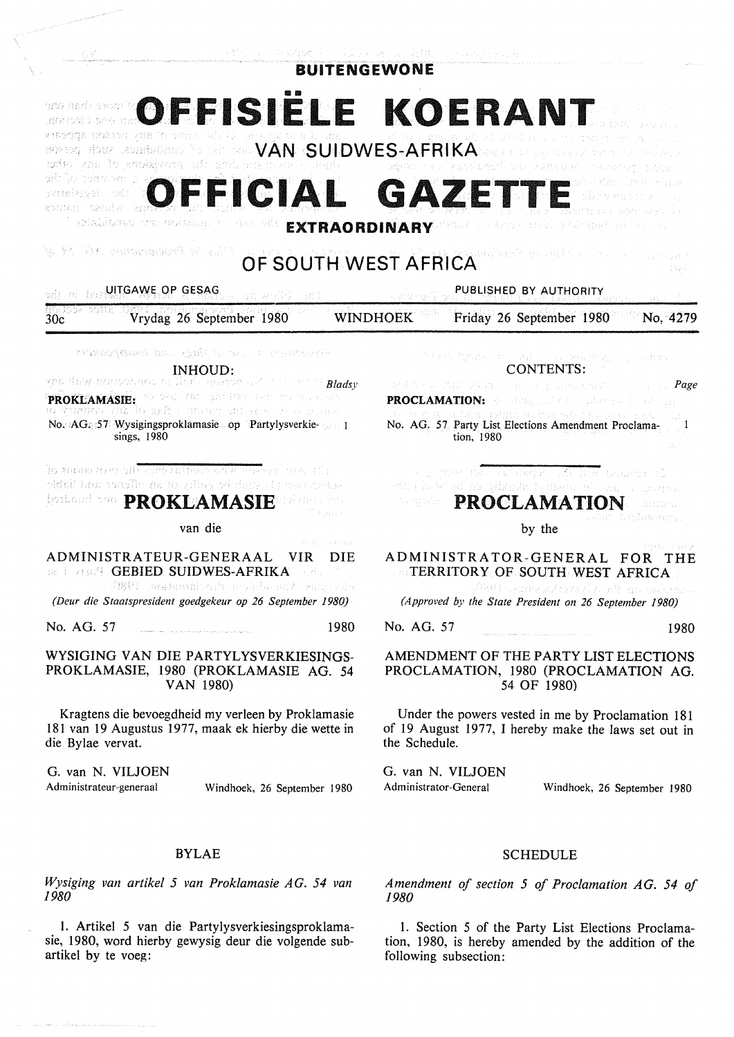| は今、 しょぶら 特徴 トームスタイオーム えばばい いっぱり いたいれ<br><b>BUITENGEWONE</b>                                                                                                                                                                                                                                                                                                                                                                                                                                                                                                                                                                                                                                                                                           |                                                                                                                                                                                                                                                                                                                                                                                                                                                |
|-------------------------------------------------------------------------------------------------------------------------------------------------------------------------------------------------------------------------------------------------------------------------------------------------------------------------------------------------------------------------------------------------------------------------------------------------------------------------------------------------------------------------------------------------------------------------------------------------------------------------------------------------------------------------------------------------------------------------------------------------------|------------------------------------------------------------------------------------------------------------------------------------------------------------------------------------------------------------------------------------------------------------------------------------------------------------------------------------------------------------------------------------------------------------------------------------------------|
| OFFISIELE KOERANT<br>antada mata shi na sun a sa sa sa sa tunan<br>and and the company of the company of the company of the company of the company of the company of the company of the company of the company of the company of the company of the company of the company of the company of the<br>modio zna lo encharcon sin aniberrarense.<br>computer in a significant of a sumply we concern a soul<br>afolia nedmom z k<br>ohusian dive made<br>OFFICIAL GAZETT<br>ovaariensel odat<br>804753 (1115843) 27<br>Teorabibaso era moiasso, es cas odi<br>Machus Alessa eta Kusulieragari eta harru eta u<br><b>EXTRAORDINARY</b><br>is til Steppengens i 150 åf<br>ganalised in the mill of the common specialist<br>OF SOUTH WEST AFRICA<br>그림에 있다 |                                                                                                                                                                                                                                                                                                                                                                                                                                                |
| on mi hondale AME.OP GESAGON an welly and                                                                                                                                                                                                                                                                                                                                                                                                                                                                                                                                                                                                                                                                                                             | PUBLISHED BY AUTHORITY<br>a at the results<br><b>おお</b> (4)                                                                                                                                                                                                                                                                                                                                                                                    |
| MGA JOGA (ROJI)<br>Vrydag 26 September 1980<br>30c                                                                                                                                                                                                                                                                                                                                                                                                                                                                                                                                                                                                                                                                                                    | <b>WINDHOEK</b><br>Friday 26 September 1980<br>No. 4279                                                                                                                                                                                                                                                                                                                                                                                        |
| Periode and the state of the second section of the state of the state of the state of the state of the state o<br>INHOUD:<br>yna drew edebouwou ni llistic goeren av 10 in 2000 <mark>Bladsv</mark><br>PROKLAMASIE: 30 Designate graduate and an analysis<br>s a control de la torne total de of activity of a setting<br>No. AG: 57 Wysigingsproklamasie op Partylysverkie- 1<br>sings, 1980<br><b>To znow role of Cayes retters of a Posta</b> or land the<br>sidnit ben osesflo na lo gibby od dann i posporetak                                                                                                                                                                                                                                   | The College to the College Street of The State<br>CONTENTS:<br>de Artik de Wyse Group foar de eardere geskiplik fan de Fryske <b>Page</b><br>PROCLAMATION: 80 BOSS, and 600 business of contract<br>4. See the security of the manual processes a represented<br>No. AG. 57 Party List Elections Amendment Proclama-1<br>tion, 1980<br>The competition and supported in the main becomes all<br>sin de la gi na glidudi tymani n'omi a cisarra |
| <b><i><b>Doctor and SHP PROKLAMASIE</b></i></b><br>19 mes es<br>さけいこう                                                                                                                                                                                                                                                                                                                                                                                                                                                                                                                                                                                                                                                                                 | <b>EXAMPION PROCLAMATION</b><br>least Crobavaan.                                                                                                                                                                                                                                                                                                                                                                                               |
| van die<br>Alban Barawa                                                                                                                                                                                                                                                                                                                                                                                                                                                                                                                                                                                                                                                                                                                               | by the                                                                                                                                                                                                                                                                                                                                                                                                                                         |
| ADMINISTRATEUR-GENERAAL<br>DIE<br>VIR.<br><b>Back and GEBIED SUIDWES-AFRIKA</b><br>ie Bru<br>.0891 jauhunaljojä muntavant kangs                                                                                                                                                                                                                                                                                                                                                                                                                                                                                                                                                                                                                       | ADMINISTRATOR-GENERAL FOR<br>THE<br>TERRITORY OF SOUTH WEST AFRICA<br>スタイム おお オーバー<br>ima katora di prin <sup>g</sup> mongonimism                                                                                                                                                                                                                                                                                                              |
| (Deur die Staatspresident goedgekeur op 26 September 1980)                                                                                                                                                                                                                                                                                                                                                                                                                                                                                                                                                                                                                                                                                            | (Approved by the State President on 26 September 1980)                                                                                                                                                                                                                                                                                                                                                                                         |
| 1980<br>No. AG. 57                                                                                                                                                                                                                                                                                                                                                                                                                                                                                                                                                                                                                                                                                                                                    | No. AG. 57<br>1980                                                                                                                                                                                                                                                                                                                                                                                                                             |
| WYSIGING VAN DIE PARTYLYSVERKIESINGS-<br>PROKLAMASIE, 1980 (PROKLAMASIE AG. 54<br>VAN 1980)                                                                                                                                                                                                                                                                                                                                                                                                                                                                                                                                                                                                                                                           | AMENDMENT OF THE PARTY LIST ELECTIONS<br>PROCLAMATION, 1980 (PROCLAMATION AG.<br>54 OF 1980)                                                                                                                                                                                                                                                                                                                                                   |
| Kragtens die bevoegdheid my verleen by Proklamasie<br>181 van 19 Augustus 1977, maak ek hierby die wette in<br>die Bylae vervat.                                                                                                                                                                                                                                                                                                                                                                                                                                                                                                                                                                                                                      | Under the powers vested in me by Proclamation 181<br>of 19 August 1977, I hereby make the laws set out in<br>the Schedule.                                                                                                                                                                                                                                                                                                                     |
| G. van N. VILJOEN<br>Administrateur-generaal<br>Windhoek, 26 September 1980                                                                                                                                                                                                                                                                                                                                                                                                                                                                                                                                                                                                                                                                           | G. van N. VILJOEN<br>Administrator-General<br>Windhoek, 26 September 1980                                                                                                                                                                                                                                                                                                                                                                      |
| <b>BYLAE</b>                                                                                                                                                                                                                                                                                                                                                                                                                                                                                                                                                                                                                                                                                                                                          | <b>SCHEDULE</b>                                                                                                                                                                                                                                                                                                                                                                                                                                |
| Wysiging van artikel 5 van Proklamasie AG. 54 van                                                                                                                                                                                                                                                                                                                                                                                                                                                                                                                                                                                                                                                                                                     | Amendment of section 5 of Proclamation AG. 54 of                                                                                                                                                                                                                                                                                                                                                                                               |

*Wysiging van artikel 5 van Proklamasie AG. 54 van*  1980

1. Artikel 5 van die Partylysverkiesingsproklamasie, 1980, word hierby gewysig deur die volgende subartikel by te voeg:

# 1980

1. Section 5 of the Party List Elections Proclamation, 1980, is hereby amended by the addition of the following subsection: